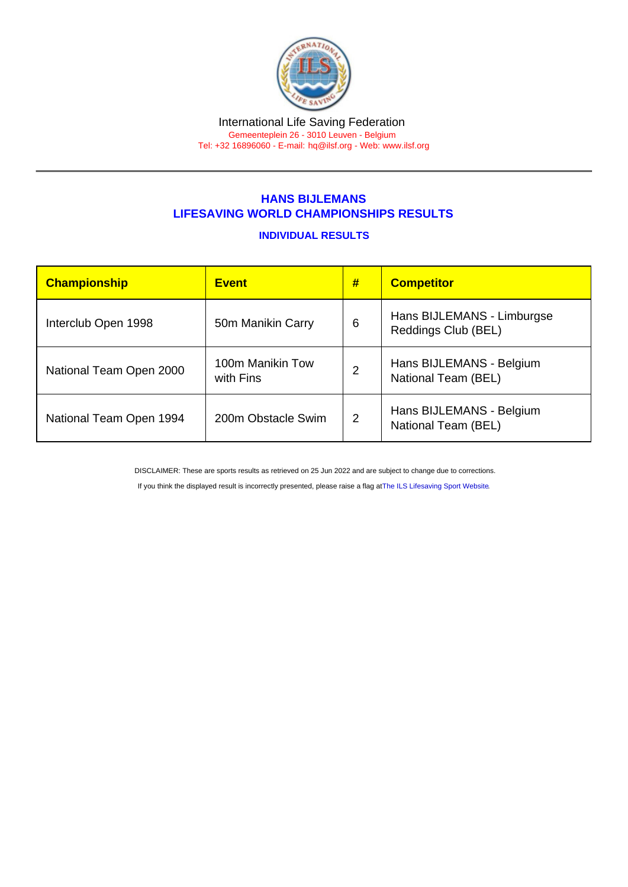## HANS BIJLEMANS LIFESAVING WORLD CHAMPIONSHIPS RESULTS

## INDIVIDUAL RESULTS

| Championship            | <b>Event</b>                  | # | <b>Competitor</b>                                 |
|-------------------------|-------------------------------|---|---------------------------------------------------|
| Interclub Open 1998     | 50m Manikin Carry             | 6 | Hans BIJLEMANS - Limburgse<br>Reddings Club (BEL) |
| National Team Open 2000 | 100m Manikin Tow<br>with Fins | 2 | Hans BIJLEMANS - Belgium<br>National Team (BEL)   |
| National Team Open 1994 | 200m Obstacle Swim            | 2 | Hans BIJLEMANS - Belgium<br>National Team (BEL)   |

DISCLAIMER: These are sports results as retrieved on 25 Jun 2022 and are subject to change due to corrections.

If you think the displayed result is incorrectly presented, please raise a flag at [The ILS Lifesaving Sport Website.](https://sport.ilsf.org)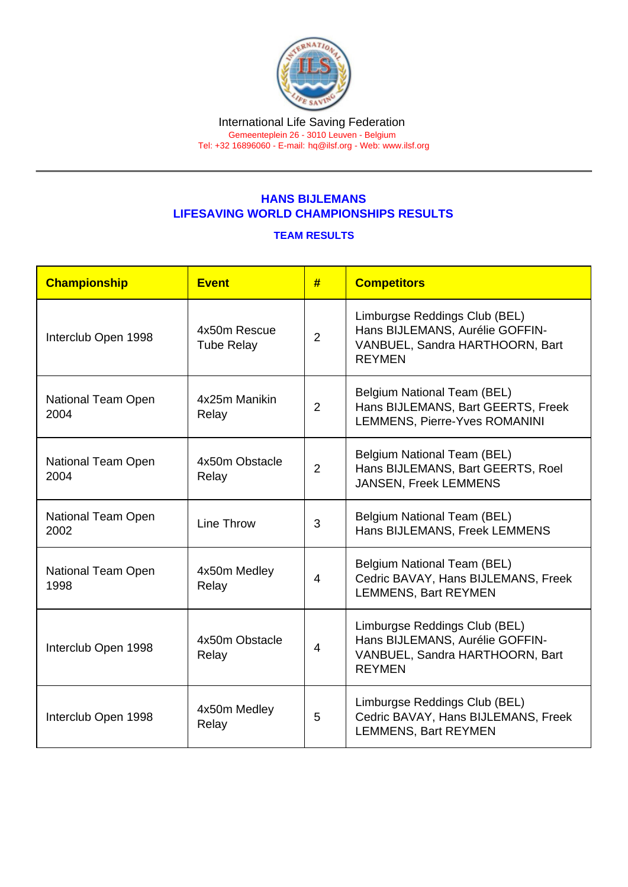## HANS BIJLEMANS LIFESAVING WORLD CHAMPIONSHIPS RESULTS

## TEAM RESULTS

| Championship               | <b>Event</b>                      | #              | <b>Competitors</b>                                                                                                   |
|----------------------------|-----------------------------------|----------------|----------------------------------------------------------------------------------------------------------------------|
| Interclub Open 1998        | 4x50m Rescue<br><b>Tube Relay</b> | $\overline{2}$ | Limburgse Reddings Club (BEL)<br>Hans BIJLEMANS, Aurélie GOFFIN-<br>VANBUEL, Sandra HARTHOORN, Bart<br><b>REYMEN</b> |
| National Team Open<br>2004 | 4x25m Manikin<br>Relay            | 2              | Belgium National Team (BEL)<br>Hans BIJLEMANS, Bart GEERTS, Freek<br><b>LEMMENS, Pierre-Yves ROMANINI</b>            |
| National Team Open<br>2004 | 4x50m Obstacle<br>Relay           | $\overline{2}$ | Belgium National Team (BEL)<br>Hans BIJLEMANS, Bart GEERTS, Roel<br>JANSEN, Freek LEMMENS                            |
| National Team Open<br>2002 | Line Throw                        | 3              | <b>Belgium National Team (BEL)</b><br>Hans BIJLEMANS, Freek LEMMENS                                                  |
| National Team Open<br>1998 | 4x50m Medley<br>Relay             | 4              | Belgium National Team (BEL)<br>Cedric BAVAY, Hans BIJLEMANS, Freek<br><b>LEMMENS, Bart REYMEN</b>                    |
| Interclub Open 1998        | 4x50m Obstacle<br>Relay           | $\overline{4}$ | Limburgse Reddings Club (BEL)<br>Hans BIJLEMANS, Aurélie GOFFIN-<br>VANBUEL, Sandra HARTHOORN, Bart<br><b>REYMEN</b> |
| Interclub Open 1998        | 4x50m Medley<br>Relay             | 5              | Limburgse Reddings Club (BEL)<br>Cedric BAVAY, Hans BIJLEMANS, Freek<br><b>LEMMENS, Bart REYMEN</b>                  |